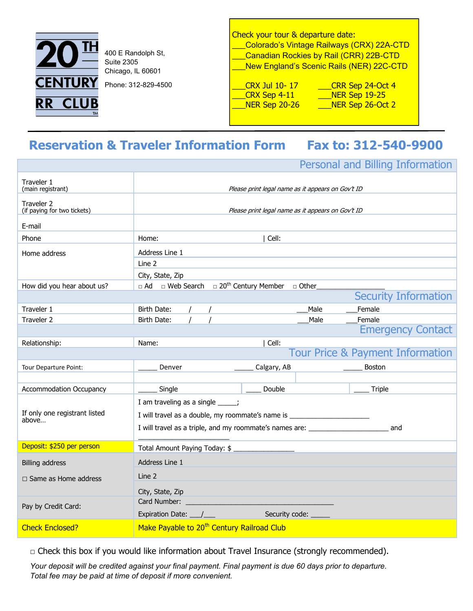

400 E Randolph St, Suite 2305 Chicago, IL 60601

Phone: 312-829-4500

Check your tour & departure date: \_\_\_Colorado's Vintage Railways (CRX) 22A-CTD \_\_\_Canadian Rockies by Rail (CRR) 22B-CTD \_\_\_New England's Scenic Rails (NER) 22C-CTD

\_\_\_CRX Jul 10- 17 \_\_\_CRR Sep 24-Oct 4 \_\_\_CRX Sep 4-11 \_\_\_NER Sep 19-25 \_\_\_NER Sep 20-26 \_\_\_NER Sep 26-Oct 2

# **Reservation & Traveler Information Form Fax to: 312-540-9900**

Personal and Billing Information

| Traveler 1<br>(main registrant)           |                                                                                         | Please print legal name as it appears on Gov't ID |                                  |  |
|-------------------------------------------|-----------------------------------------------------------------------------------------|---------------------------------------------------|----------------------------------|--|
| Traveler 2<br>(if paying for two tickets) |                                                                                         | Please print legal name as it appears on Gov't ID |                                  |  |
| E-mail                                    |                                                                                         |                                                   |                                  |  |
| Phone                                     | Home:                                                                                   | Cell:                                             |                                  |  |
| Home address                              | Address Line 1                                                                          |                                                   |                                  |  |
|                                           | Line 2                                                                                  |                                                   |                                  |  |
|                                           | City, State, Zip                                                                        |                                                   |                                  |  |
| How did you hear about us?                | $\Box$ Ad $\Box$ Web Search $\Box$ 20 <sup>th</sup> Century Member $\Box$ Other         |                                                   |                                  |  |
|                                           |                                                                                         |                                                   | <b>Security Information</b>      |  |
| Traveler 1                                | Birth Date:                                                                             | Male                                              | Female                           |  |
| Traveler 2                                | Birth Date:                                                                             | Male                                              | Female                           |  |
|                                           |                                                                                         |                                                   | <b>Emergency Contact</b>         |  |
| Relationship:                             | Name:                                                                                   | Cell:                                             |                                  |  |
|                                           |                                                                                         |                                                   | Tour Price & Payment Information |  |
| Tour Departure Point:                     | Denver                                                                                  | Calgary, AB                                       | <b>Boston</b>                    |  |
|                                           |                                                                                         |                                                   |                                  |  |
| <b>Accommodation Occupancy</b>            | Single                                                                                  | Double                                            | Triple                           |  |
|                                           | I am traveling as a single _____;                                                       |                                                   |                                  |  |
| If only one registrant listed<br>above    | I will travel as a double, my roommate's name is _______________________________        |                                                   |                                  |  |
|                                           | I will travel as a triple, and my roommate's names are: ________________________<br>and |                                                   |                                  |  |
| Deposit: \$250 per person                 | Total Amount Paying Today: \$                                                           |                                                   |                                  |  |
| <b>Billing address</b>                    | Address Line 1                                                                          |                                                   |                                  |  |
| $\Box$ Same as Home address               | Line 2                                                                                  |                                                   |                                  |  |
|                                           |                                                                                         |                                                   |                                  |  |
|                                           | City, State, Zip                                                                        |                                                   |                                  |  |
| Pay by Credit Card:                       |                                                                                         |                                                   |                                  |  |
|                                           |                                                                                         | Security code:                                    |                                  |  |
| <b>Check Enclosed?</b>                    | Make Payable to 20 <sup>th</sup> Century Railroad Club                                  |                                                   |                                  |  |

 $\Box$  Check this box if you would like information about Travel Insurance (strongly recommended).

*Your deposit will be credited against your final payment. Final payment is due 60 days prior to departure. Total fee may be paid at time of deposit if more convenient.*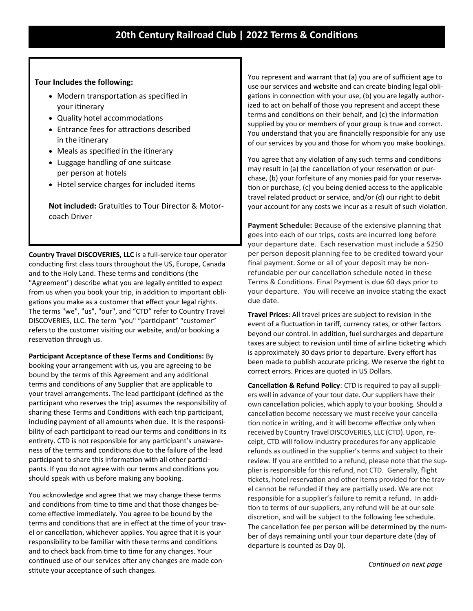### **Tour Includes the following:**

- Modern transportation as specified in your itinerary
- Quality hotel accommodations
- Entrance fees for attractions described in the itinerary
- Meals as specified in the itinerary
- Luggage handling of one suitcase per person at hotels
- Hotel service charges for included items

**Not included:** Gratuities to Tour Director & Motorcoach Driver

**Country Travel DISCOVERIES, LLC** is a full-service tour operator conducting first class tours throughout the US, Europe, Canada and to the Holy Land. These terms and conditions (the "Agreement") describe what you are legally entitled to expect from us when you book your trip, in addition to important obligations you make as a customer that effect your legal rights. The terms "we", "us", "our", and "CTD" refer to Country Travel DISCOVERIES, LLC. The term "you" "participant" "customer" refers to the customer visiting our website, and/or booking a reservation through us.

**Participant Acceptance of these Terms and Conditions:** By booking your arrangement with us, you are agreeing to be bound by the terms of this Agreement and any additional terms and conditions of any Supplier that are applicable to your travel arrangements. The lead participant (defined as the participant who reserves the trip) assumes the responsibility of sharing these Terms and Conditions with each trip participant, including payment of all amounts when due. It is the responsibility of each participant to read our terms and conditions in its entirety. CTD is not responsible for any participant's unawareness of the terms and conditions due to the failure of the lead participant to share this information with all other participants. If you do not agree with our terms and conditions you should speak with us before making any booking.

You acknowledge and agree that we may change these terms and conditions from time to time and that those changes become effective immediately. You agree to be bound by the terms and conditions that are in effect at the time of your travel or cancellation, whichever applies. You agree that it is your responsibility to be familiar with these terms and conditions and to check back from time to time for any changes. Your continued use of our services after any changes are made constitute your acceptance of such changes.

You represent and warrant that (a) you are of sufficient age to use our services and website and can create binding legal obligations in connection with your use, (b) you are legally authorized to act on behalf of those you represent and accept these terms and conditions on their behalf, and (c) the information supplied by you or members of your group is true and correct. You understand that you are financially responsible for any use of our services by you and those for whom you make bookings.

You agree that any violation of any such terms and conditions may result in (a) the cancellation of your reservation or purchase, (b) your forfeiture of any monies paid for your reservation or purchase, (c) you being denied access to the applicable travel related product or service, and/or (d) our right to debit your account for any costs we incur as a result of such violation.

**Payment Schedule:** Because of the extensive planning that goes into each of our trips, costs are incurred long before your departure date. Each reservation must include a \$250 per person deposit planning fee to be credited toward your final payment. Some or all of your deposit may be nonrefundable per our cancellation schedule noted in these Terms & Conditions. Final Payment is due 60 days prior to your departure. You will receive an invoice stating the exact due date.

**Travel Prices**: All travel prices are subject to revision in the event of a fluctuation in tariff, currency rates, or other factors beyond our control. In addition, fuel surcharges and departure taxes are subject to revision until time of airline ticketing which is approximately 30 days prior to departure. Every effort has been made to publish accurate pricing. We reserve the right to correct errors. Prices are quoted in US Dollars.

**Cancellation & Refund Policy**: CTD is required to pay all suppliers well in advance of your tour date. Our suppliers have their own cancellation policies, which apply to your booking. Should a cancellation become necessary we must receive your cancellation notice in writing, and it will become effective only when received by Country Travel DISCOVERIES, LLC (CTD). Upon, receipt, CTD will follow industry procedures for any applicable refunds as outlined in the supplier's terms and subject to their review. If you are entitled to a refund, please note that the supplier is responsible for this refund, not CTD. Generally, flight tickets, hotel reservation and other items provided for the travel cannot be refunded if they are partially used. We are not responsible for a supplier's failure to remit a refund. In addition to terms of our suppliers, any refund will be at our sole discretion, and will be subject to the following fee schedule. The cancellation fee per person will be determined by the number of days remaining until your tour departure date (day of departure is counted as Day 0).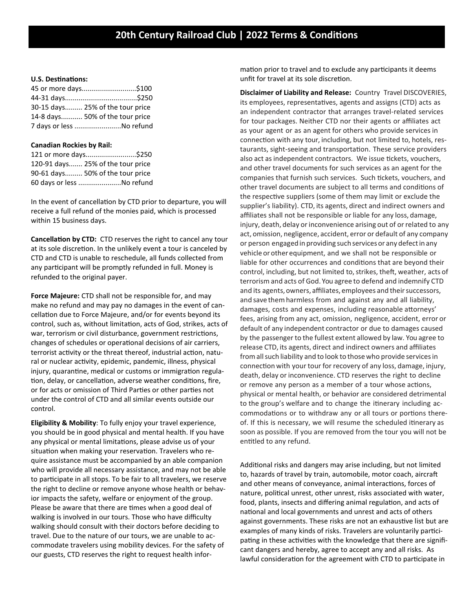#### **U.S. Destinations:**

| 45 or more days\$100             |  |
|----------------------------------|--|
|                                  |  |
| 30-15 days 25% of the tour price |  |
| 14-8 days 50% of the tour price  |  |
| 7 days or less No refund         |  |

#### **Canadian Rockies by Rail:**

| 121 or more days\$250             |
|-----------------------------------|
| 120-91 days 25% of the tour price |
| 90-61 days 50% of the tour price  |
| 60 days or less No refund         |

In the event of cancellation by CTD prior to departure, you will receive a full refund of the monies paid, which is processed within 15 business days.

**Cancellation by CTD:** CTD reserves the right to cancel any tour at its sole discretion. In the unlikely event a tour is canceled by CTD and CTD is unable to reschedule, all funds collected from any participant will be promptly refunded in full. Money is refunded to the original payer.

**Force Majeure:** CTD shall not be responsible for, and may make no refund and may pay no damages in the event of cancellation due to Force Majeure, and/or for events beyond its control, such as, without limitation, acts of God, strikes, acts of war, terrorism or civil disturbance, government restrictions, changes of schedules or operational decisions of air carriers, terrorist activity or the threat thereof, industrial action, natural or nuclear activity, epidemic, pandemic, illness, physical injury, quarantine, medical or customs or immigration regulation, delay, or cancellation, adverse weather conditions, fire, or for acts or omission of Third Parties or other parties not under the control of CTD and all similar events outside our control.

**Eligibility & Mobility**: To fully enjoy your travel experience, you should be in good physical and mental health. If you have any physical or mental limitations, please advise us of your situation when making your reservation. Travelers who require assistance must be accompanied by an able companion who will provide all necessary assistance, and may not be able to participate in all stops. To be fair to all travelers, we reserve the right to decline or remove anyone whose health or behavior impacts the safety, welfare or enjoyment of the group. Please be aware that there are times when a good deal of walking is involved in our tours. Those who have difficulty walking should consult with their doctors before deciding to travel. Due to the nature of our tours, we are unable to accommodate travelers using mobility devices. For the safety of our guests, CTD reserves the right to request health information prior to travel and to exclude any participants it deems unfit for travel at its sole discretion.

**Disclaimer of Liability and Release:** Country Travel DISCOVERIES, its employees, representatives, agents and assigns (CTD) acts as an independent contractor that arranges travel-related services for tour packages. Neither CTD nor their agents or affiliates act as your agent or as an agent for others who provide services in connection with any tour, including, but not limited to, hotels, restaurants, sight-seeing and transportation. These service providers also act as independent contractors. We issue tickets, vouchers, and other travel documents for such services as an agent for the companies that furnish such services. Such tickets, vouchers, and other travel documents are subject to all terms and conditions of the respective suppliers (some of them may limit or exclude the supplier's liability). CTD, its agents, direct and indirect owners and affiliates shall not be responsible or liable for any loss, damage, injury, death, delay or inconvenience arising out of or related to any act, omission, negligence, accident, error or default of any company or person engaged in providing such services or any defect in any vehicle or other equipment, and we shall not be responsible or liable for other occurrences and conditions that are beyond their control, including, but not limited to, strikes, theft, weather, acts of terrorism and acts of God. You agree to defend and indemnify CTD and its agents, owners, affiliates, employees and their successors, and save themharmless from and against any and all liability, damages, costs and expenses, including reasonable attorneys' fees, arising from any act, omission, negligence, accident, error or default of any independent contractor or due to damages caused by the passenger to the fullest extent allowed by law. You agree to release CTD, its agents, direct and indirect owners and affiliates from all such liability and to look to those who provide services in connection with your tour for recovery of any loss, damage, injury, death, delay or inconvenience. CTD reserves the right to decline or remove any person as a member of a tour whose actions, physical or mental health, or behavior are considered detrimental to the group's welfare and to change the itinerary including accommodations or to withdraw any or all tours or portions thereof. If this is necessary, we will resume the scheduled itinerary as soon as possible. If you are removed from the tour you will not be entitled to any refund.

Additional risks and dangers may arise including, but not limited to, hazards of travel by train, automobile, motor coach, aircraft and other means of conveyance, animal interactions, forces of nature, political unrest, other unrest, risks associated with water, food, plants, insects and differing animal regulation, and acts of national and local governments and unrest and acts of others against governments. These risks are not an exhaustive list but are examples of many kinds of risks. Travelers are voluntarily participating in these activities with the knowledge that there are significant dangers and hereby, agree to accept any and all risks. As lawful consideration for the agreement with CTD to participate in